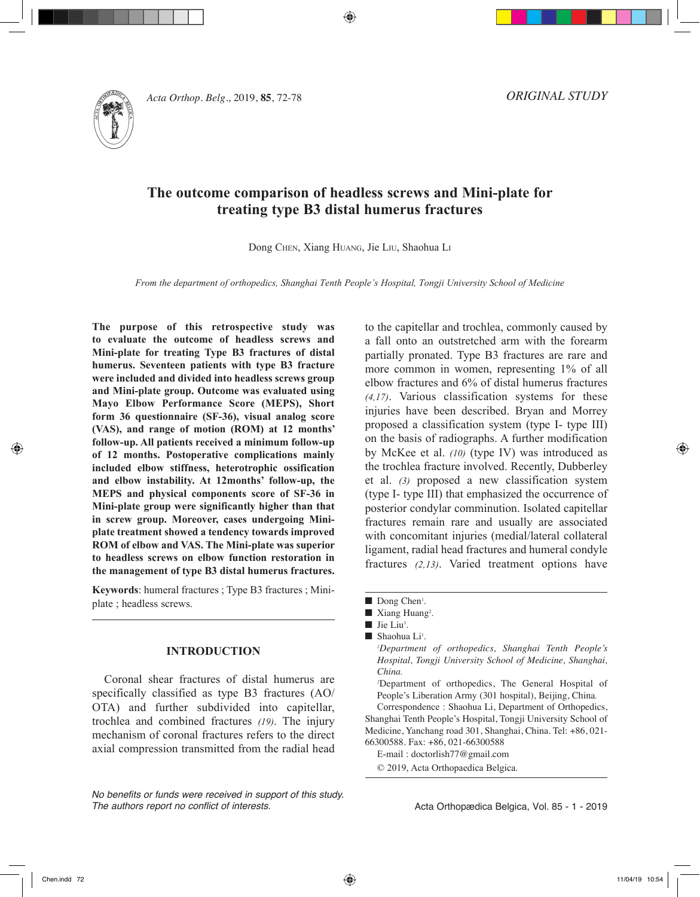

*Acta Orthop. Belg.***, 2019, <b>85**, 72-78

*ORIGINAL STUDY*

# **The outcome comparison of headless screws and Mini-plate for treating type B3 distal humerus fractures**

⊕

Dong Chen, Xiang Huang, Jie Liu, Shaohua L<sup>i</sup>

*From the department of orthopedics, Shanghai Tenth People's Hospital, Tongji University School of Medicine*

**The purpose of this retrospective study was to evaluate the outcome of headless screws and Mini-plate for treating Type B3 fractures of distal humerus. Seventeen patients with type B3 fracture were included and divided into headless screws group and Mini-plate group. Outcome was evaluated using Mayo Elbow Performance Score (MEPS), Short form 36 questionnaire (SF-36), visual analog score (VAS), and range of motion (ROM) at 12 months' follow-up. All patients received a minimum follow-up of 12 months. Postoperative complications mainly included elbow stiffness, heterotrophic ossification and elbow instability. At 12months' follow-up, the MEPS and physical components score of SF-36 in Mini-plate group were significantly higher than that in screw group. Moreover, cases undergoing Miniplate treatment showed a tendency towards improved ROM of elbow and VAS. The Mini-plate was superior to headless screws on elbow function restoration in the management of type B3 distal humerus fractures.** 

**Keywords**: humeral fractures ; Type B3 fractures ; Miniplate ; headless screws.

### **INTRODUCTION**

Coronal shear fractures of distal humerus are specifically classified as type B3 fractures (AO/ OTA) and further subdivided into capitellar, trochlea and combined fractures *(19)*. The injury mechanism of coronal fractures refers to the direct axial compression transmitted from the radial head

*No benefits or funds were received in support of this study. The authors report no conflict of interests.*

to the capitellar and trochlea, commonly caused by a fall onto an outstretched arm with the forearm partially pronated. Type B3 fractures are rare and more common in women, representing 1% of all elbow fractures and 6% of distal humerus fractures *(4,17)*. Various classification systems for these injuries have been described. Bryan and Morrey proposed a classification system (type I- type III) on the basis of radiographs. A further modification by McKee et al. *(10)* (type IV) was introduced as the trochlea fracture involved. Recently, Dubberley et al. *(3)* proposed a new classification system (type I- type III) that emphasized the occurrence of posterior condylar comminution. Isolated capitellar fractures remain rare and usually are associated with concomitant injuries (medial/lateral collateral ligament, radial head fractures and humeral condyle fractures *(2,13)*. Varied treatment options have

Correspondence : Shaohua Li, Department of Orthopedics, Shanghai Tenth People's Hospital, Tongji University School of Medicine, Yanchang road 301, Shanghai, China. Tel: +86, 021- 66300588. Fax: +86, 021-66300588

E-mail : doctorlish77@gmail.com

© 2019, Acta Orthopaedica Belgica.

Acta Orthopædica Belgica, Vol. 85 - 1 - 2019

Dong Chen<sup>1</sup>.

 $\blacksquare$  Xiang Huang<sup>2</sup>.

 $\blacksquare$  Jie Liu<sup>1</sup>.

 $\blacksquare$  Shaohua Li<sup>1</sup>.

*<sup>1</sup> Department of orthopedics, Shanghai Tenth People's Hospital, Tongji University School of Medicine, Shanghai, China.*

*<sup>2</sup>* Department of orthopedics, The General Hospital of People's Liberation Army (301 hospital), Beijing, China*.*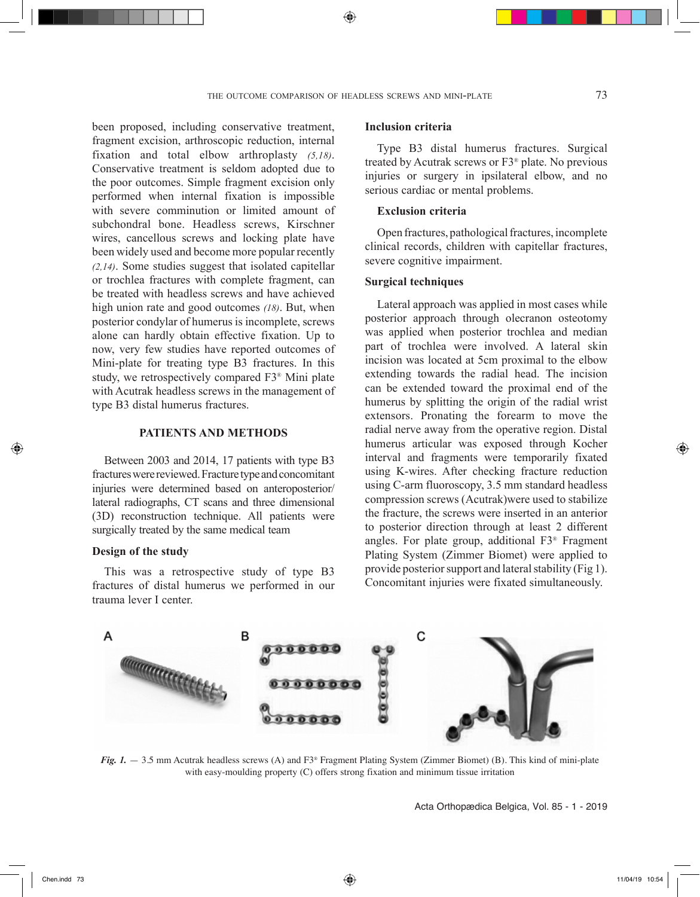⊕

been proposed, including conservative treatment, fragment excision, arthroscopic reduction, internal fixation and total elbow arthroplasty *(5,18)*. Conservative treatment is seldom adopted due to the poor outcomes. Simple fragment excision only performed when internal fixation is impossible with severe comminution or limited amount of subchondral bone. Headless screws, Kirschner wires, cancellous screws and locking plate have been widely used and become more popular recently *(2,14)*. Some studies suggest that isolated capitellar or trochlea fractures with complete fragment, can be treated with headless screws and have achieved high union rate and good outcomes *(18)*. But, when posterior condylar of humerus is incomplete, screws alone can hardly obtain effective fixation. Up to now, very few studies have reported outcomes of Mini-plate for treating type B3 fractures. In this study, we retrospectively compared F3® Mini plate with Acutrak headless screws in the management of type B3 distal humerus fractures.

### **PATIENTS AND METHODS**

Between 2003 and 2014, 17 patients with type B3 fractures were reviewed. Fracture type and concomitant injuries were determined based on anteroposterior/ lateral radiographs, CT scans and three dimensional (3D) reconstruction technique. All patients were surgically treated by the same medical team

#### **Design of the study**

This was a retrospective study of type B3 fractures of distal humerus we performed in our trauma lever I center.

### **Inclusion criteria**

Type B3 distal humerus fractures. Surgical treated by Acutrak screws or F3® plate. No previous injuries or surgery in ipsilateral elbow, and no serious cardiac or mental problems.

### **Exclusion criteria**

Open fractures, pathological fractures, incomplete clinical records, children with capitellar fractures, severe cognitive impairment.

### **Surgical techniques**

Lateral approach was applied in most cases while posterior approach through olecranon osteotomy was applied when posterior trochlea and median part of trochlea were involved. A lateral skin incision was located at 5cm proximal to the elbow extending towards the radial head. The incision can be extended toward the proximal end of the humerus by splitting the origin of the radial wrist extensors. Pronating the forearm to move the radial nerve away from the operative region. Distal humerus articular was exposed through Kocher interval and fragments were temporarily fixated using K-wires. After checking fracture reduction using C-arm fluoroscopy, 3.5 mm standard headless compression screws (Acutrak)were used to stabilize the fracture, the screws were inserted in an anterior to posterior direction through at least 2 different angles. For plate group, additional F3® Fragment Plating System (Zimmer Biomet) were applied to provide posterior support and lateral stability (Fig 1). Concomitant injuries were fixated simultaneously.



*Fig. 1.*  $-$  3.5 mm Acutrak headless screws (A) and F3<sup>®</sup> Fragment Plating System (Zimmer Biomet) (B). This kind of mini-plate with easy-moulding property (C) offers strong fixation and minimum tissue irritation

Acta Orthopædica Belgica, Vol. 85 - 1 - 2019

◈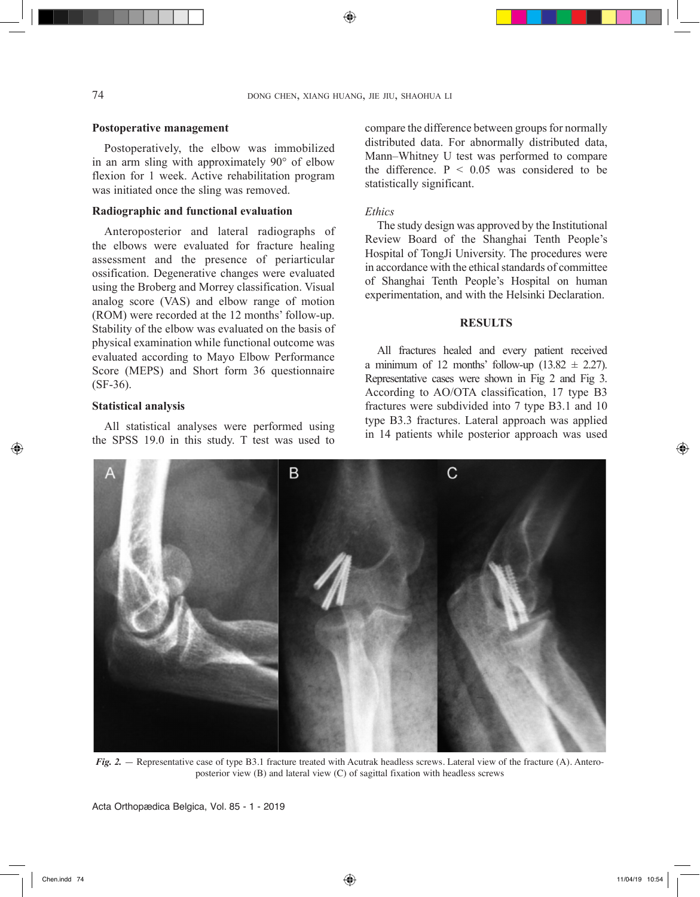### **Postoperative management**

Postoperatively, the elbow was immobilized in an arm sling with approximately 90° of elbow flexion for 1 week. Active rehabilitation program was initiated once the sling was removed.

## **Radiographic and functional evaluation**

Anteroposterior and lateral radiographs of the elbows were evaluated for fracture healing assessment and the presence of periarticular ossification. Degenerative changes were evaluated using the Broberg and Morrey classification. Visual analog score (VAS) and elbow range of motion (ROM) were recorded at the 12 months' follow-up. Stability of the elbow was evaluated on the basis of physical examination while functional outcome was evaluated according to Mayo Elbow Performance Score (MEPS) and Short form 36 questionnaire (SF-36).

### **Statistical analysis**

◈

All statistical analyses were performed using the SPSS 19.0 in this study. T test was used to compare the difference between groups for normally distributed data. For abnormally distributed data, Mann–Whitney U test was performed to compare the difference.  $P < 0.05$  was considered to be statistically significant.

#### *Ethics*

The study design was approved by the Institutional Review Board of the Shanghai Tenth People's Hospital of TongJi University. The procedures were in accordance with the ethical standards of committee of Shanghai Tenth People's Hospital on human experimentation, and with the Helsinki Declaration.

### **RESULTS**

All fractures healed and every patient received a minimum of 12 months' follow-up  $(13.82 \pm 2.27)$ . Representative cases were shown in Fig 2 and Fig 3. According to AO/OTA classification, 17 type B3 fractures were subdivided into 7 type B3.1 and 10 type B3.3 fractures. Lateral approach was applied in 14 patients while posterior approach was used



*Fig. 2.* - Representative case of type B3.1 fracture treated with Acutrak headless screws. Lateral view of the fracture (A). Anteroposterior view (B) and lateral view (C) of sagittal fixation with headless screws

Acta Orthopædica Belgica, Vol. 85 - 1 - 2019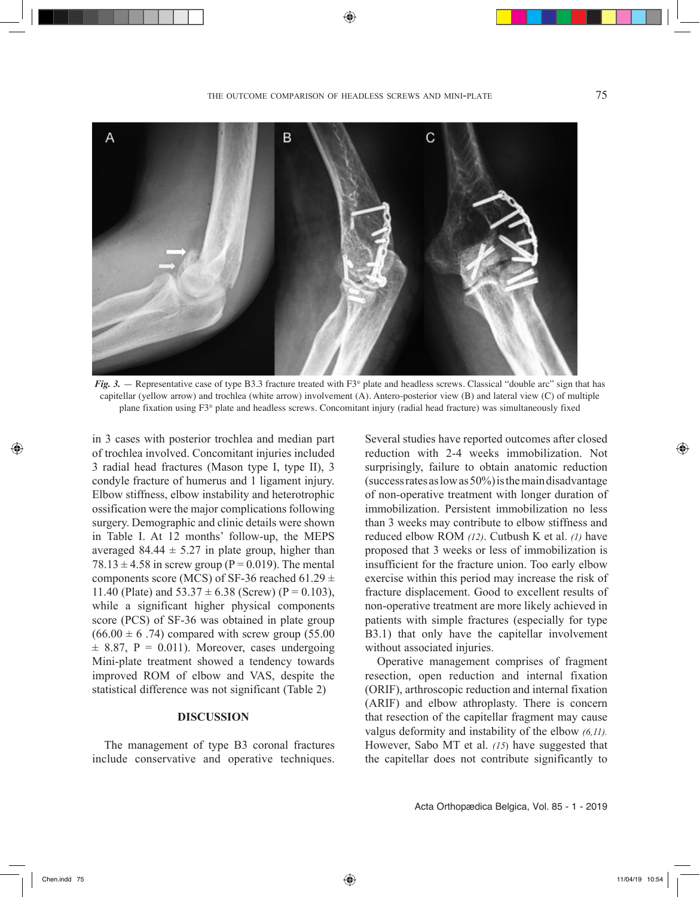the outcome comparison of headless screws and mini-plate 75



*Fig. 3.* — Representative case of type B3.3 fracture treated with F3<sup>®</sup> plate and headless screws. Classical "double arc" sign that has capitellar (yellow arrow) and trochlea (white arrow) involvement (A). Antero-posterior view (B) and lateral view (C) of multiple plane fixation using F3® plate and headless screws. Concomitant injury (radial head fracture) was simultaneously fixed

in 3 cases with posterior trochlea and median part of trochlea involved. Concomitant injuries included 3 radial head fractures (Mason type I, type II), 3 condyle fracture of humerus and 1 ligament injury. Elbow stiffness, elbow instability and heterotrophic ossification were the major complications following surgery. Demographic and clinic details were shown in Table I. At 12 months' follow-up, the MEPS averaged 84.44  $\pm$  5.27 in plate group, higher than  $78.13 \pm 4.58$  in screw group (P = 0.019). The mental components score (MCS) of SF-36 reached 61.29  $\pm$ 11.40 (Plate) and  $53.37 \pm 6.38$  (Screw) (P = 0.103), while a significant higher physical components score (PCS) of SF-36 was obtained in plate group  $(66.00 \pm 6.74)$  compared with screw group (55.00)  $\pm$  8.87, P = 0.011). Moreover, cases undergoing Mini-plate treatment showed a tendency towards improved ROM of elbow and VAS, despite the statistical difference was not significant (Table 2)

### **DISCUSSION**

The management of type B3 coronal fractures include conservative and operative techniques. Several studies have reported outcomes after closed reduction with 2-4 weeks immobilization. Not surprisingly, failure to obtain anatomic reduction (success rates as low as 50%) is the main disadvantage of non-operative treatment with longer duration of immobilization. Persistent immobilization no less than 3 weeks may contribute to elbow stiffness and reduced elbow ROM *(12)*. Cutbush K et al. *(1)* have proposed that 3 weeks or less of immobilization is insufficient for the fracture union. Too early elbow exercise within this period may increase the risk of fracture displacement. Good to excellent results of non-operative treatment are more likely achieved in patients with simple fractures (especially for type B3.1) that only have the capitellar involvement without associated injuries.

Operative management comprises of fragment resection, open reduction and internal fixation (ORIF), arthroscopic reduction and internal fixation (ARIF) and elbow athroplasty. There is concern that resection of the capitellar fragment may cause valgus deformity and instability of the elbow *(6,11).* However, Sabo MT et al. *(15*) have suggested that the capitellar does not contribute significantly to

Acta Orthopædica Belgica, Vol. 85 - 1 - 2019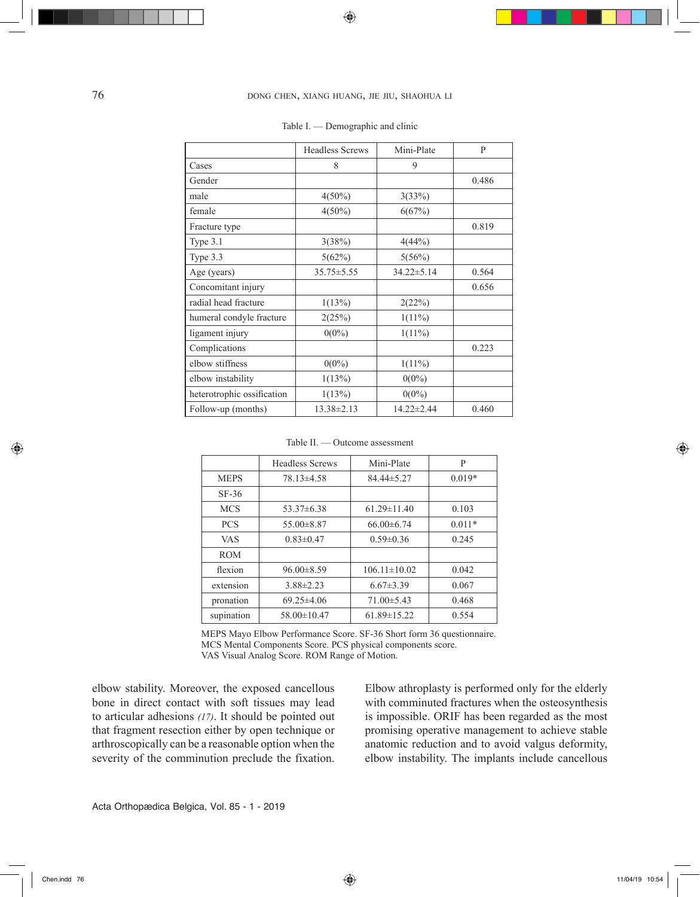# 76 dong chen, xiang huang, jie jiu, shaohua li

⊕

|                            | <b>Headless Screws</b> | Mini-Plate | $\mathbf{P}$ |
|----------------------------|------------------------|------------|--------------|
| Cases                      | 8                      | 9          |              |
| Gender                     |                        |            | 0.486        |
| male                       | $4(50\%)$              | 3(33%)     |              |
| female                     | $4(50\%)$              | 6(67%)     |              |
| Fracture type              |                        |            | 0.819        |
| Type 3.1                   | 3(38%)                 | 4(44%)     |              |
| Type 3.3                   | 5(62%)                 | 5(56%)     |              |
| Age (years)                | $35.75 \pm 5.55$       | 34.22±5.14 | 0.564        |
| Concomitant injury         |                        |            | 0.656        |
| radial head fracture       | 1(13%)                 | 2(22%)     |              |
| humeral condyle fracture   | 2(25%)                 | $1(11\%)$  |              |
| ligament injury            | $0(0\%)$               | $1(11\%)$  |              |
| Complications              |                        |            | 0.223        |
| elbow stiffness            | $0(0\%)$               | $1(11\%)$  |              |
| elbow instability          | 1(13%)                 | $0(0\%)$   |              |
| heterotrophic ossification | 1(13%)                 | $0(0\%)$   |              |
| Follow-up (months)         | $13.38 \pm 2.13$       | 14.22±2.44 | 0.460        |

#### Table I. — Demographic and clinic

Table II. — Outcome assessment

|             | <b>Headless Screws</b> | Mini-Plate         | P        |
|-------------|------------------------|--------------------|----------|
| <b>MEPS</b> | $78.13\pm4.58$         | 84.44±5.27         | $0.019*$ |
| $SF-36$     |                        |                    |          |
| <b>MCS</b>  | $53.37\pm 6.38$        | $61.29 \pm 11.40$  | 0.103    |
| <b>PCS</b>  | $55.00\pm8.87$         | $66.00\pm 6.74$    | $0.011*$ |
| <b>VAS</b>  | $0.83 \pm 0.47$        | $0.59 \pm 0.36$    | 0.245    |
| <b>ROM</b>  |                        |                    |          |
| flexion     | $96.00\pm8.59$         | $106.11 \pm 10.02$ | 0.042    |
| extension   | $3.88 \pm 2.23$        | $6.67 \pm 3.39$    | 0.067    |
| pronation   | $69.25 \pm 4.06$       | $71.00\pm5.43$     | 0.468    |
| supination  | $58.00 \pm 10.47$      | $61.89 \pm 15.22$  | 0.554    |

MEPS Mayo Elbow Performance Score. SF-36 Short form 36 questionnaire. MCS Mental Components Score. PCS physical components score. VAS Visual Analog Score. ROM Range of Motion.

elbow stability. Moreover, the exposed cancellous bone in direct contact with soft tissues may lead to articular adhesions *(17)*. It should be pointed out that fragment resection either by open technique or arthroscopically can be a reasonable option when the severity of the comminution preclude the fixation. Elbow athroplasty is performed only for the elderly with comminuted fractures when the osteosynthesis is impossible. ORIF has been regarded as the most promising operative management to achieve stable anatomic reduction and to avoid valgus deformity, elbow instability. The implants include cancellous

◈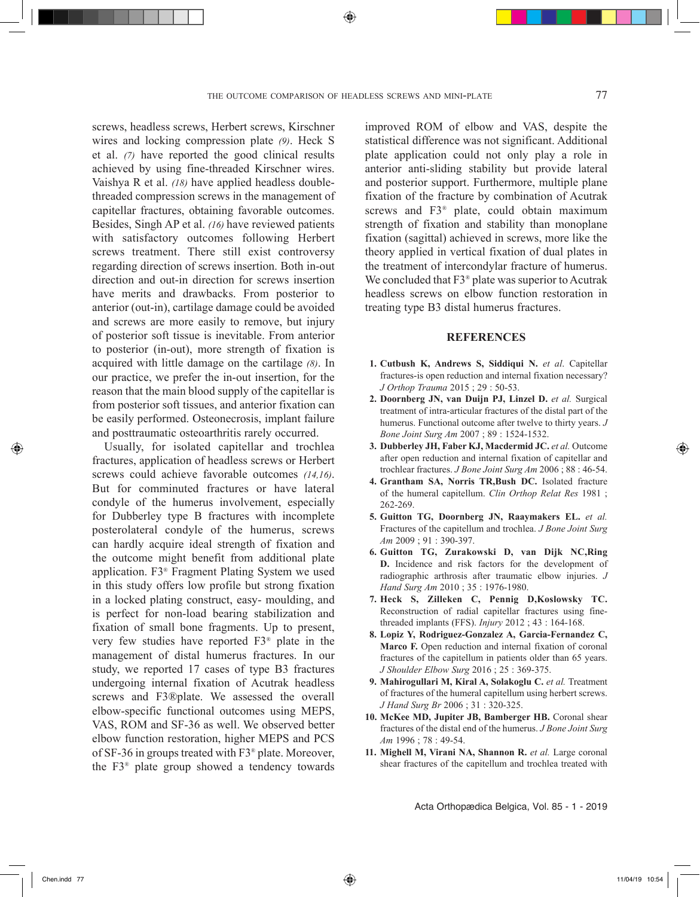⊕

screws, headless screws, Herbert screws, Kirschner wires and locking compression plate *(9)*. Heck S et al. *(7)* have reported the good clinical results achieved by using fine-threaded Kirschner wires. Vaishya R et al. *(18)* have applied headless doublethreaded compression screws in the management of capitellar fractures, obtaining favorable outcomes. Besides, Singh AP et al. *(16)* have reviewed patients with satisfactory outcomes following Herbert screws treatment. There still exist controversy regarding direction of screws insertion. Both in-out direction and out-in direction for screws insertion have merits and drawbacks. From posterior to anterior (out-in), cartilage damage could be avoided and screws are more easily to remove, but injury of posterior soft tissue is inevitable. From anterior to posterior (in-out), more strength of fixation is acquired with little damage on the cartilage *(8)*. In our practice, we prefer the in-out insertion, for the reason that the main blood supply of the capitellar is from posterior soft tissues, and anterior fixation can be easily performed. Osteonecrosis, implant failure and posttraumatic osteoarthritis rarely occurred.

Usually, for isolated capitellar and trochlea fractures, application of headless screws or Herbert screws could achieve favorable outcomes *(14,16)*. But for comminuted fractures or have lateral condyle of the humerus involvement, especially for Dubberley type B fractures with incomplete posterolateral condyle of the humerus, screws can hardly acquire ideal strength of fixation and the outcome might benefit from additional plate application. F3® Fragment Plating System we used in this study offers low profile but strong fixation in a locked plating construct, easy- moulding, and is perfect for non-load bearing stabilization and fixation of small bone fragments. Up to present, very few studies have reported F3® plate in the management of distal humerus fractures. In our study, we reported 17 cases of type B3 fractures undergoing internal fixation of Acutrak headless screws and F3®plate. We assessed the overall elbow-specific functional outcomes using MEPS, VAS, ROM and SF-36 as well. We observed better elbow function restoration, higher MEPS and PCS of SF-36 in groups treated with F3® plate. Moreover, the F3® plate group showed a tendency towards

improved ROM of elbow and VAS, despite the statistical difference was not significant. Additional plate application could not only play a role in anterior anti-sliding stability but provide lateral and posterior support. Furthermore, multiple plane fixation of the fracture by combination of Acutrak screws and F3® plate, could obtain maximum strength of fixation and stability than monoplane fixation (sagittal) achieved in screws, more like the theory applied in vertical fixation of dual plates in the treatment of intercondylar fracture of humerus. We concluded that F3<sup>®</sup> plate was superior to Acutrak headless screws on elbow function restoration in treating type B3 distal humerus fractures.

#### **REFERENCES**

- **1. Cutbush K, Andrews S, Siddiqui N.** *et al*. Capitellar fractures-is open reduction and internal fixation necessary? *J Orthop Trauma* 2015 ; 29 : 50-53.
- **2. Doornberg JN, van Duijn PJ, Linzel D.** *et al.* Surgical treatment of intra-articular fractures of the distal part of the humerus. Functional outcome after twelve to thirty years. *J Bone Joint Surg Am* 2007 ; 89 : 1524-1532.
- **3. Dubberley JH, Faber KJ, Macdermid JC.** *et al.* Outcome after open reduction and internal fixation of capitellar and trochlear fractures. *J Bone Joint Surg Am* 2006 ; 88 : 46-54.
- **4. Grantham SA, Norris TR,Bush DC.** Isolated fracture of the humeral capitellum. *Clin Orthop Relat Res* 1981 ; 262-269.
- **5. Guitton TG, Doornberg JN, Raaymakers EL.** *et al.*  Fractures of the capitellum and trochlea. *J Bone Joint Surg Am* 2009 ; 91 : 390-397.
- **6. Guitton TG, Zurakowski D, van Dijk NC,Ring D.** Incidence and risk factors for the development of radiographic arthrosis after traumatic elbow injuries. *J Hand Surg Am* 2010 ; 35 : 1976-1980.
- **7. Heck S, Zilleken C, Pennig D,Koslowsky TC.**  Reconstruction of radial capitellar fractures using finethreaded implants (FFS). *Injury* 2012 ; 43 : 164-168.
- **8. Lopiz Y, Rodriguez-Gonzalez A, Garcia-Fernandez C, Marco F.** Open reduction and internal fixation of coronal fractures of the capitellum in patients older than 65 years. *J Shoulder Elbow Surg* 2016 ; 25 : 369-375.
- **9. Mahirogullari M, Kiral A, Solakoglu C.** *et al.* Treatment of fractures of the humeral capitellum using herbert screws. *J Hand Surg Br* 2006 ; 31 : 320-325.
- **10. McKee MD, Jupiter JB, Bamberger HB.** Coronal shear fractures of the distal end of the humerus. *J Bone Joint Surg Am* 1996 ; 78 : 49-54.
- **11. Mighell M, Virani NA, Shannon R.** *et al.* Large coronal shear fractures of the capitellum and trochlea treated with

Acta Orthopædica Belgica, Vol. 85 - 1 - 2019